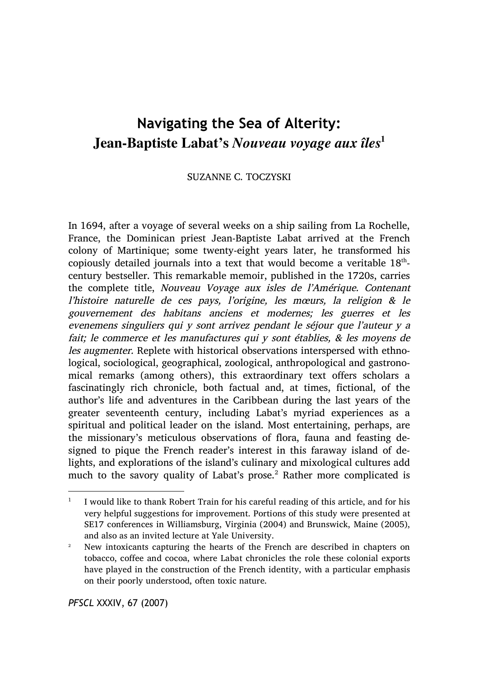## **Navigating the Sea of Alterity: Jean-Baptiste Labat's** *Nouveau voyage aux îles***<sup>1</sup>**

## SUZANNE C. TOCZYSKI

In 1694, after a voyage of several weeks on a ship sailing from La Rochelle, France, the Dominican priest Jean-Baptiste Labat arrived at the French colony of Martinique; some twenty-eight years later, he transformed his copiously detailed journals into a text that would become a veritable  $18<sup>th</sup>$ century bestseller. This remarkable memoir, published in the 1720s, carries the complete title, Nouveau Voyage aux isles de l'Amérique. Contenant l'histoire naturelle de ces pays, l'origine, les mœurs, la religion & le gouvernement des habitans anciens et modernes; les guerres et les evenemens singuliers qui y sont arrivez pendant le séjour que l'auteur y a fait; le commerce et les manufactures qui y sont établies, & les moyens de les augmenter. Replete with historical observations interspersed with ethnological, sociological, geographical, zoological, anthropological and gastronomical remarks (among others), this extraordinary text offers scholars a fascinatingly rich chronicle, both factual and, at times, fictional, of the author's life and adventures in the Caribbean during the last years of the greater seventeenth century, including Labat's myriad experiences as a spiritual and political leader on the island. Most entertaining, perhaps, are the missionary's meticulous observations of flora, fauna and feasting designed to pique the French reader's interest in this faraway island of delights, and explorations of the island's culinary and mixological cultures add much to the savory quality of Labat's prose.<sup>2</sup> Rather more complicated is

*PFSCL* XXXIV, 67 (2007)

<sup>&</sup>lt;sup>1</sup> I would like to thank Robert Train for his careful reading of this article, and for his very helpful suggestions for improvement. Portions of this study were presented at SE17 conferences in Williamsburg, Virginia (2004) and Brunswick, Maine (2005), and also as an invited lecture at Yale University.

<sup>2</sup> New intoxicants capturing the hearts of the French are described in chapters on tobacco, coffee and cocoa, where Labat chronicles the role these colonial exports have played in the construction of the French identity, with a particular emphasis on their poorly understood, often toxic nature.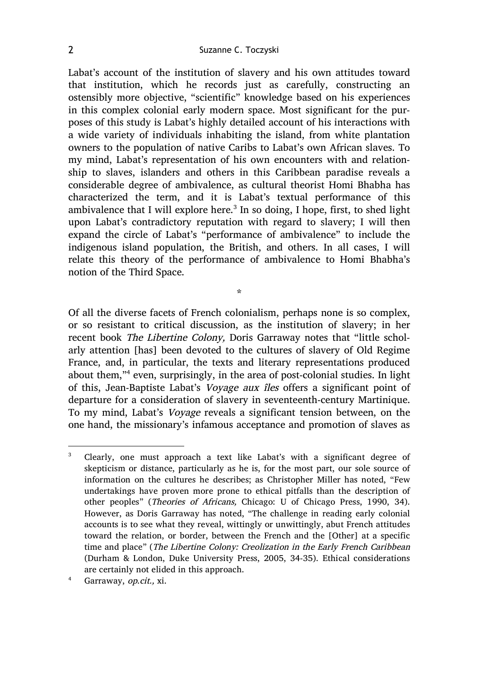Labat's account of the institution of slavery and his own attitudes toward that institution, which he records just as carefully, constructing an ostensibly more objective, "scientific" knowledge based on his experiences in this complex colonial early modern space. Most significant for the purposes of this study is Labat's highly detailed account of his interactions with a wide variety of individuals inhabiting the island, from white plantation owners to the population of native Caribs to Labat's own African slaves. To my mind, Labat's representation of his own encounters with and relationship to slaves, islanders and others in this Caribbean paradise reveals a considerable degree of ambivalence, as cultural theorist Homi Bhabha has characterized the term, and it is Labat's textual performance of this ambivalence that I will explore here.<sup>3</sup> In so doing, I hope, first, to shed light upon Labat's contradictory reputation with regard to slavery; I will then expand the circle of Labat's "performance of ambivalence" to include the indigenous island population, the British, and others. In all cases, I will relate this theory of the performance of ambivalence to Homi Bhabha's notion of the Third Space.

Of all the diverse facets of French colonialism, perhaps none is so complex, or so resistant to critical discussion, as the institution of slavery; in her recent book The Libertine Colony, Doris Garraway notes that "little scholarly attention [has] been devoted to the cultures of slavery of Old Regime France, and, in particular, the texts and literary representations produced about them,"4 even, surprisingly, in the area of post-colonial studies. In light of this, Jean-Baptiste Labat's Voyage aux îles offers a significant point of departure for a consideration of slavery in seventeenth-century Martinique. To my mind, Labat's Voyage reveals a significant tension between, on the one hand, the missionary's infamous acceptance and promotion of slaves as

\*

<sup>4</sup> Garraway, op.cit., xi.

 <sup>3</sup> Clearly, one must approach a text like Labat's with a significant degree of skepticism or distance, particularly as he is, for the most part, our sole source of information on the cultures he describes; as Christopher Miller has noted, "Few undertakings have proven more prone to ethical pitfalls than the description of other peoples" (Theories of Africans, Chicago: U of Chicago Press, 1990, 34). However, as Doris Garraway has noted, "The challenge in reading early colonial accounts is to see what they reveal, wittingly or unwittingly, abut French attitudes toward the relation, or border, between the French and the [Other] at a specific time and place" (The Libertine Colony: Creolization in the Early French Caribbean (Durham & London, Duke University Press, 2005, 34-35). Ethical considerations are certainly not elided in this approach.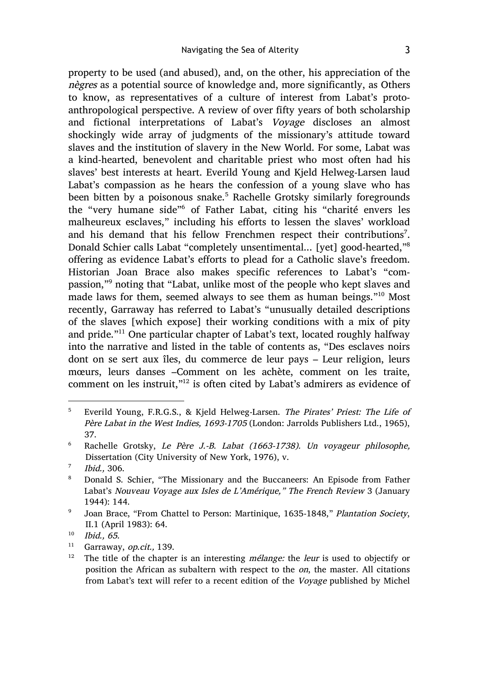property to be used (and abused), and, on the other, his appreciation of the nègres as a potential source of knowledge and, more significantly, as Others to know, as representatives of a culture of interest from Labat's protoanthropological perspective. A review of over fifty years of both scholarship and fictional interpretations of Labat's Voyage discloses an almost shockingly wide array of judgments of the missionary's attitude toward slaves and the institution of slavery in the New World. For some, Labat was a kind-hearted, benevolent and charitable priest who most often had his slaves' best interests at heart. Everild Young and Kjeld Helweg-Larsen laud Labat's compassion as he hears the confession of a young slave who has been bitten by a poisonous snake.<sup>5</sup> Rachelle Grotsky similarly foregrounds the "very humane side"<sup>6</sup> of Father Labat, citing his "charité envers les malheureux esclaves," including his efforts to lessen the slaves' workload and his demand that his fellow Frenchmen respect their contributions<sup>7</sup>. Donald Schier calls Labat "completely unsentimental... [yet] good-hearted,"8 offering as evidence Labat's efforts to plead for a Catholic slave's freedom. Historian Joan Brace also makes specific references to Labat's "compassion,"<sup>9</sup> noting that "Labat, unlike most of the people who kept slaves and made laws for them, seemed always to see them as human beings."<sup>10</sup> Most recently, Garraway has referred to Labat's "unusually detailed descriptions of the slaves [which expose] their working conditions with a mix of pity and pride."<sup>11</sup> One particular chapter of Labat's text, located roughly halfway into the narrative and listed in the table of contents as, "Des esclaves noirs dont on se sert aux îles, du commerce de leur pays – Leur religion, leurs mœurs, leurs danses –Comment on les achète, comment on les traite, comment on les instruit,"12 is often cited by Labat's admirers as evidence of

 <sup>5</sup> Everild Young, F.R.G.S., & Kjeld Helweg-Larsen. The Pirates' Priest: The Life of Père Labat in the West Indies, 1693-1705 (London: Jarrolds Publishers Ltd., 1965), 37.

<sup>6</sup> Rachelle Grotsky, Le Père J.-B. Labat (1663-1738). Un voyageur philosophe, Dissertation (City University of New York, 1976), v.

<sup>7</sup> Ibid., 306.

<sup>8</sup> Donald S. Schier, "The Missionary and the Buccaneers: An Episode from Father Labat's Nouveau Voyage aux Isles de L'Amérique," The French Review 3 (January 1944): 144.

<sup>&</sup>lt;sup>9</sup> Joan Brace, "From Chattel to Person: Martinique, 1635-1848," Plantation Society, II.1 (April 1983): 64.

 $10$  Ibid., 65.

<sup>&</sup>lt;sup>11</sup> Garraway, op.cit., 139.

<sup>&</sup>lt;sup>12</sup> The title of the chapter is an interesting *mélange:* the *leur* is used to objectify or position the African as subaltern with respect to the on, the master. All citations from Labat's text will refer to a recent edition of the Voyage published by Michel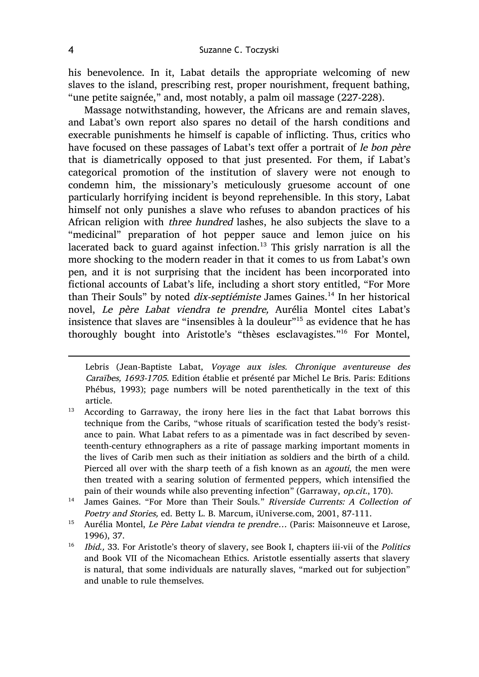his benevolence. In it, Labat details the appropriate welcoming of new slaves to the island, prescribing rest, proper nourishment, frequent bathing, "une petite saignée," and, most notably, a palm oil massage (227-228).

Massage notwithstanding, however, the Africans are and remain slaves, and Labat's own report also spares no detail of the harsh conditions and execrable punishments he himself is capable of inflicting. Thus, critics who have focused on these passages of Labat's text offer a portrait of le bon père that is diametrically opposed to that just presented. For them, if Labat's categorical promotion of the institution of slavery were not enough to condemn him, the missionary's meticulously gruesome account of one particularly horrifying incident is beyond reprehensible. In this story, Labat himself not only punishes a slave who refuses to abandon practices of his African religion with three hundred lashes, he also subjects the slave to a "medicinal" preparation of hot pepper sauce and lemon juice on his lacerated back to guard against infection.<sup>13</sup> This grisly narration is all the more shocking to the modern reader in that it comes to us from Labat's own pen, and it is not surprising that the incident has been incorporated into fictional accounts of Labat's life, including a short story entitled, "For More than Their Souls" by noted *dix-septiémiste* James Gaines.<sup>14</sup> In her historical novel, Le père Labat viendra te prendre, Aurélia Montel cites Labat's insistence that slaves are "insensibles à la douleur"15 as evidence that he has thoroughly bought into Aristotle's "thèses esclavagistes."<sup>16</sup> For Montel,

 $\overline{a}$ 

Lebris (Jean-Baptiste Labat, Voyage aux isles. Chronique aventureuse des Caraïbes, 1693-1705. Edition établie et présenté par Michel Le Bris. Paris: Editions Phébus, 1993); page numbers will be noted parenthetically in the text of this article.

<sup>&</sup>lt;sup>13</sup> According to Garraway, the irony here lies in the fact that Labat borrows this technique from the Caribs, "whose rituals of scarification tested the body's resistance to pain. What Labat refers to as a pimentade was in fact described by seventeenth-century ethnographers as a rite of passage marking important moments in the lives of Carib men such as their initiation as soldiers and the birth of a child. Pierced all over with the sharp teeth of a fish known as an agouti, the men were then treated with a searing solution of fermented peppers, which intensified the pain of their wounds while also preventing infection" (Garraway, op.cit., 170).

<sup>&</sup>lt;sup>14</sup> James Gaines. "For More than Their Souls." Riverside Currents: A Collection of Poetry and Stories, ed. Betty L. B. Marcum, iUniverse.com, 2001, 87-111.

<sup>&</sup>lt;sup>15</sup> Aurélia Montel, *Le Père Labat viendra te prendre...* (Paris: Maisonneuve et Larose, 1996), 37.

<sup>&</sup>lt;sup>16</sup> Ibid., 33. For Aristotle's theory of slavery, see Book I, chapters iii-vii of the *Politics* and Book VII of the Nicomachean Ethics. Aristotle essentially asserts that slavery is natural, that some individuals are naturally slaves, "marked out for subjection" and unable to rule themselves.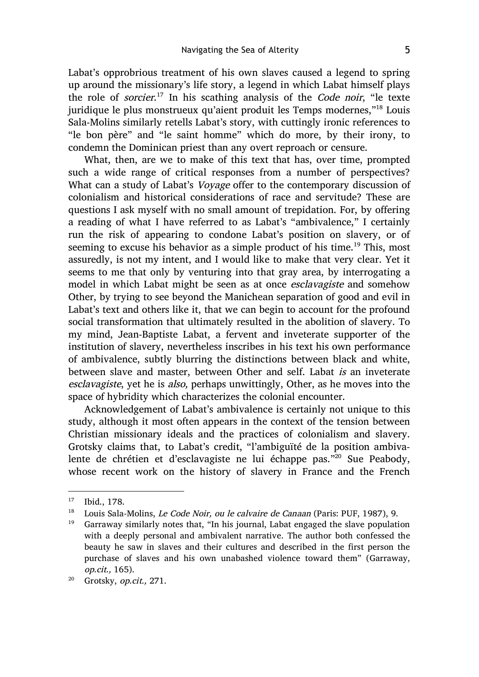Labat's opprobrious treatment of his own slaves caused a legend to spring up around the missionary's life story, a legend in which Labat himself plays the role of *sorcier*.<sup>17</sup> In his scathing analysis of the *Code noir*, "le texte juridique le plus monstrueux qu'aient produit les Temps modernes,"18 Louis Sala-Molins similarly retells Labat's story, with cuttingly ironic references to "le bon père" and "le saint homme" which do more, by their irony, to condemn the Dominican priest than any overt reproach or censure.

What, then, are we to make of this text that has, over time, prompted such a wide range of critical responses from a number of perspectives? What can a study of Labat's Voyage offer to the contemporary discussion of colonialism and historical considerations of race and servitude? These are questions I ask myself with no small amount of trepidation. For, by offering a reading of what I have referred to as Labat's "ambivalence," I certainly run the risk of appearing to condone Labat's position on slavery, or of seeming to excuse his behavior as a simple product of his time.<sup>19</sup> This, most assuredly, is not my intent, and I would like to make that very clear. Yet it seems to me that only by venturing into that gray area, by interrogating a model in which Labat might be seen as at once esclavagiste and somehow Other, by trying to see beyond the Manichean separation of good and evil in Labat's text and others like it, that we can begin to account for the profound social transformation that ultimately resulted in the abolition of slavery. To my mind, Jean-Baptiste Labat, a fervent and inveterate supporter of the institution of slavery, nevertheless inscribes in his text his own performance of ambivalence, subtly blurring the distinctions between black and white, between slave and master, between Other and self. Labat is an inveterate esclavagiste, yet he is also, perhaps unwittingly, Other, as he moves into the space of hybridity which characterizes the colonial encounter.

Acknowledgement of Labat's ambivalence is certainly not unique to this study, although it most often appears in the context of the tension between Christian missionary ideals and the practices of colonialism and slavery. Grotsky claims that, to Labat's credit, "l'ambiguïté de la position ambivalente de chrétien et d'esclavagiste ne lui échappe pas."20 Sue Peabody, whose recent work on the history of slavery in France and the French

 <sup>17</sup> Ibid., 178.

 $18$  Louis Sala-Molins, Le Code Noir, ou le calvaire de Canaan (Paris: PUF, 1987), 9.

 $19$  Garraway similarly notes that, "In his journal, Labat engaged the slave population with a deeply personal and ambivalent narrative. The author both confessed the beauty he saw in slaves and their cultures and described in the first person the purchase of slaves and his own unabashed violence toward them" (Garraway, op.cit., 165).

<sup>&</sup>lt;sup>20</sup> Grotsky, op.cit., 271.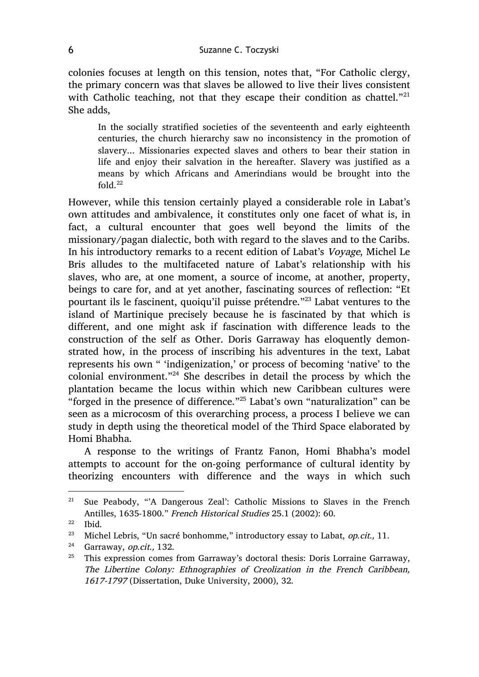colonies focuses at length on this tension, notes that, "For Catholic clergy, the primary concern was that slaves be allowed to live their lives consistent with Catholic teaching, not that they escape their condition as chattel. $"^{21}$ She adds,

In the socially stratified societies of the seventeenth and early eighteenth centuries, the church hierarchy saw no inconsistency in the promotion of slavery... Missionaries expected slaves and others to bear their station in life and enjoy their salvation in the hereafter. Slavery was justified as a means by which Africans and Amerindians would be brought into the fold. $^{22}$ 

However, while this tension certainly played a considerable role in Labat's own attitudes and ambivalence, it constitutes only one facet of what is, in fact, a cultural encounter that goes well beyond the limits of the missionary/pagan dialectic, both with regard to the slaves and to the Caribs. In his introductory remarks to a recent edition of Labat's Voyage, Michel Le Bris alludes to the multifaceted nature of Labat's relationship with his slaves, who are, at one moment, a source of income, at another, property, beings to care for, and at yet another, fascinating sources of reflection: "Et pourtant ils le fascinent, quoiqu'il puisse prétendre."<sup>23</sup> Labat ventures to the island of Martinique precisely because he is fascinated by that which is different, and one might ask if fascination with difference leads to the construction of the self as Other. Doris Garraway has eloquently demonstrated how, in the process of inscribing his adventures in the text, Labat represents his own " 'indigenization,' or process of becoming 'native' to the colonial environment."<sup>24</sup> She describes in detail the process by which the plantation became the locus within which new Caribbean cultures were "forged in the presence of difference."<sup>25</sup> Labat's own "naturalization" can be seen as a microcosm of this overarching process, a process I believe we can study in depth using the theoretical model of the Third Space elaborated by Homi Bhabha.

A response to the writings of Frantz Fanon, Homi Bhabha's model attempts to account for the on-going performance of cultural identity by theorizing encounters with difference and the ways in which such

<sup>&</sup>lt;sup>21</sup> Sue Peabody, "'A Dangerous Zeal': Catholic Missions to Slaves in the French Antilles, 1635-1800." French Historical Studies 25.1 (2002): 60.

 $\frac{22}{23}$  Ibid.

Michel Lebris, "Un sacré bonhomme," introductory essay to Labat, op.cit., 11.

<sup>&</sup>lt;sup>24</sup> Garraway, op.cit., 132.

<sup>&</sup>lt;sup>25</sup> This expression comes from Garraway's doctoral thesis: Doris Lorraine Garraway, The Libertine Colony: Ethnographies of Creolization in the French Caribbean, 1617-1797 (Dissertation, Duke University, 2000), 32.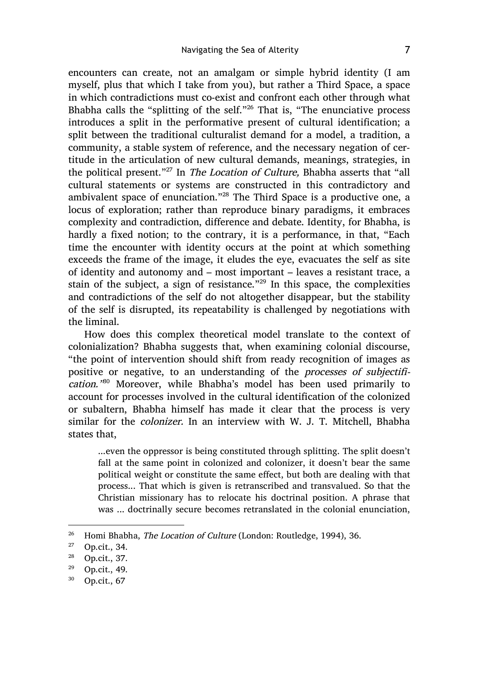encounters can create, not an amalgam or simple hybrid identity (I am myself, plus that which I take from you), but rather a Third Space, a space in which contradictions must co-exist and confront each other through what Bhabha calls the "splitting of the self."<sup>26</sup> That is, "The enunciative process introduces a split in the performative present of cultural identification; a split between the traditional culturalist demand for a model, a tradition, a community, a stable system of reference, and the necessary negation of certitude in the articulation of new cultural demands, meanings, strategies, in the political present."<sup>27</sup> In *The Location of Culture*, Bhabha asserts that "all cultural statements or systems are constructed in this contradictory and ambivalent space of enunciation."<sup>28</sup> The Third Space is a productive one, a locus of exploration; rather than reproduce binary paradigms, it embraces complexity and contradiction, difference and debate. Identity, for Bhabha, is hardly a fixed notion; to the contrary, it is a performance, in that, "Each time the encounter with identity occurs at the point at which something exceeds the frame of the image, it eludes the eye, evacuates the self as site of identity and autonomy and – most important – leaves a resistant trace, a stain of the subject, a sign of resistance."<sup>29</sup> In this space, the complexities and contradictions of the self do not altogether disappear, but the stability of the self is disrupted, its repeatability is challenged by negotiations with the liminal.

How does this complex theoretical model translate to the context of colonialization? Bhabha suggests that, when examining colonial discourse, "the point of intervention should shift from ready recognition of images as positive or negative, to an understanding of the processes of subjectification.<sup>380</sup> Moreover, while Bhabha's model has been used primarily to account for processes involved in the cultural identification of the colonized or subaltern, Bhabha himself has made it clear that the process is very similar for the *colonizer*. In an interview with W. J. T. Mitchell, Bhabha states that,

...even the oppressor is being constituted through splitting. The split doesn't fall at the same point in colonized and colonizer, it doesn't bear the same political weight or constitute the same effect, but both are dealing with that process... That which is given is retranscribed and transvalued. So that the Christian missionary has to relocate his doctrinal position. A phrase that was ... doctrinally secure becomes retranslated in the colonial enunciation,

<sup>&</sup>lt;sup>26</sup> Homi Bhabha, *The Location of Culture* (London: Routledge, 1994), 36.

<sup>27</sup> Op.cit., 34.

<sup>28</sup> Op.cit., 37.

<sup>29</sup> Op.cit., 49.

<sup>30</sup> Op.cit., 67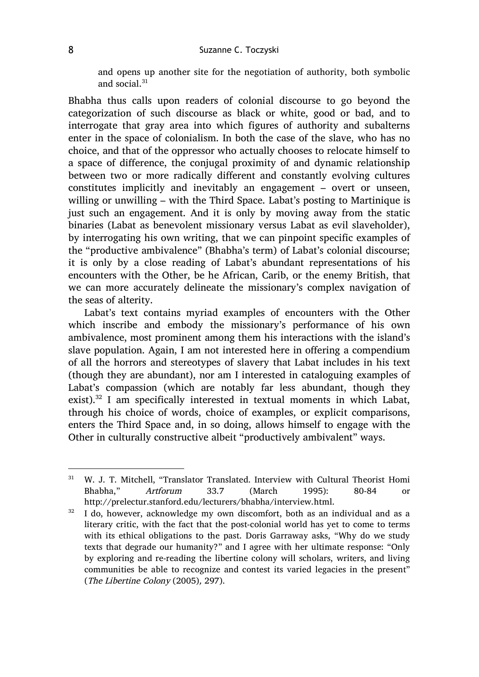and opens up another site for the negotiation of authority, both symbolic and social. $31$ 

Bhabha thus calls upon readers of colonial discourse to go beyond the categorization of such discourse as black or white, good or bad, and to interrogate that gray area into which figures of authority and subalterns enter in the space of colonialism. In both the case of the slave, who has no choice, and that of the oppressor who actually chooses to relocate himself to a space of difference, the conjugal proximity of and dynamic relationship between two or more radically different and constantly evolving cultures constitutes implicitly and inevitably an engagement – overt or unseen, willing or unwilling – with the Third Space. Labat's posting to Martinique is just such an engagement. And it is only by moving away from the static binaries (Labat as benevolent missionary versus Labat as evil slaveholder), by interrogating his own writing, that we can pinpoint specific examples of the "productive ambivalence" (Bhabha's term) of Labat's colonial discourse; it is only by a close reading of Labat's abundant representations of his encounters with the Other, be he African, Carib, or the enemy British, that we can more accurately delineate the missionary's complex navigation of the seas of alterity.

Labat's text contains myriad examples of encounters with the Other which inscribe and embody the missionary's performance of his own ambivalence, most prominent among them his interactions with the island's slave population. Again, I am not interested here in offering a compendium of all the horrors and stereotypes of slavery that Labat includes in his text (though they are abundant), nor am I interested in cataloguing examples of Labat's compassion (which are notably far less abundant, though they exist).32 I am specifically interested in textual moments in which Labat, through his choice of words, choice of examples, or explicit comparisons, enters the Third Space and, in so doing, allows himself to engage with the Other in culturally constructive albeit "productively ambivalent" ways.

 <sup>31</sup> W. J. T. Mitchell, "Translator Translated. Interview with Cultural Theorist Homi Bhabha," Artforum 33.7 (March 1995): 80-84 or http://prelectur.stanford.edu/lecturers/bhabha/interview.html.

 $32$  I do, however, acknowledge my own discomfort, both as an individual and as a literary critic, with the fact that the post-colonial world has yet to come to terms with its ethical obligations to the past. Doris Garraway asks, "Why do we study texts that degrade our humanity?" and I agree with her ultimate response: "Only by exploring and re-reading the libertine colony will scholars, writers, and living communities be able to recognize and contest its varied legacies in the present" (The Libertine Colony (2005), 297).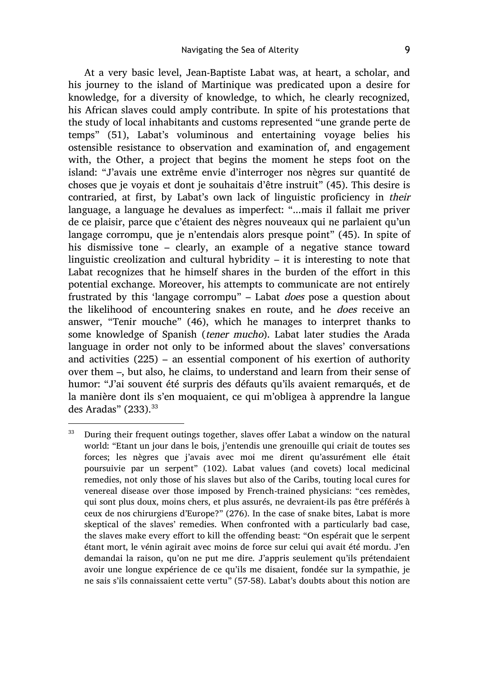At a very basic level, Jean-Baptiste Labat was, at heart, a scholar, and his journey to the island of Martinique was predicated upon a desire for knowledge, for a diversity of knowledge, to which, he clearly recognized, his African slaves could amply contribute. In spite of his protestations that the study of local inhabitants and customs represented "une grande perte de temps" (51), Labat's voluminous and entertaining voyage belies his ostensible resistance to observation and examination of, and engagement with, the Other, a project that begins the moment he steps foot on the island: "J'avais une extrême envie d'interroger nos nègres sur quantité de choses que je voyais et dont je souhaitais d'être instruit" (45). This desire is contraried, at first, by Labat's own lack of linguistic proficiency in their language, a language he devalues as imperfect: "...mais il fallait me priver de ce plaisir, parce que c'étaient des nègres nouveaux qui ne parlaient qu'un langage corrompu, que je n'entendais alors presque point" (45). In spite of his dismissive tone – clearly, an example of a negative stance toward linguistic creolization and cultural hybridity – it is interesting to note that Labat recognizes that he himself shares in the burden of the effort in this potential exchange. Moreover, his attempts to communicate are not entirely frustrated by this 'langage corrompu" – Labat does pose a question about the likelihood of encountering snakes en route, and he does receive an answer, "Tenir mouche" (46), which he manages to interpret thanks to some knowledge of Spanish (tener mucho). Labat later studies the Arada language in order not only to be informed about the slaves' conversations and activities (225) – an essential component of his exertion of authority over them –, but also, he claims, to understand and learn from their sense of humor: "J'ai souvent été surpris des défauts qu'ils avaient remarqués, et de la manière dont ils s'en moquaient, ce qui m'obligea à apprendre la langue des Aradas"  $(233).$ <sup>33</sup>

<sup>&</sup>lt;sup>33</sup> During their frequent outings together, slaves offer Labat a window on the natural world: "Etant un jour dans le bois, j'entendis une grenouille qui criait de toutes ses forces; les nègres que j'avais avec moi me dirent qu'assurément elle était poursuivie par un serpent" (102). Labat values (and covets) local medicinal remedies, not only those of his slaves but also of the Caribs, touting local cures for venereal disease over those imposed by French-trained physicians: "ces remèdes, qui sont plus doux, moins chers, et plus assurés, ne devraient-ils pas être préférés à ceux de nos chirurgiens d'Europe?" (276). In the case of snake bites, Labat is more skeptical of the slaves' remedies. When confronted with a particularly bad case, the slaves make every effort to kill the offending beast: "On espérait que le serpent étant mort, le vénin agirait avec moins de force sur celui qui avait été mordu. J'en demandai la raison, qu'on ne put me dire. J'appris seulement qu'ils prétendaient avoir une longue expérience de ce qu'ils me disaient, fondée sur la sympathie, je ne sais s'ils connaissaient cette vertu" (57-58). Labat's doubts about this notion are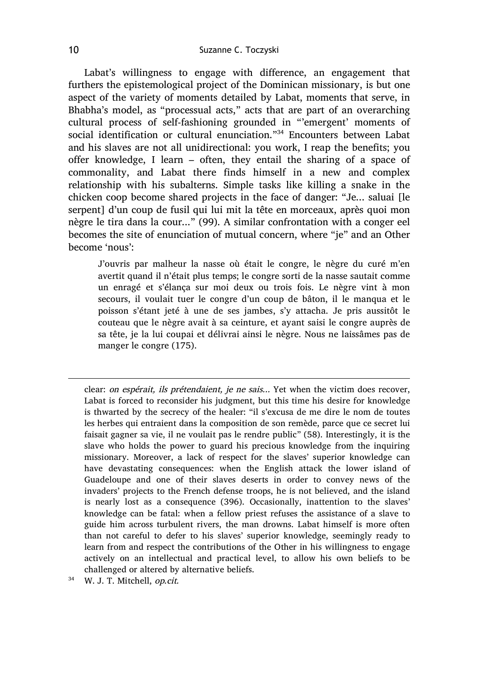Labat's willingness to engage with difference, an engagement that furthers the epistemological project of the Dominican missionary, is but one aspect of the variety of moments detailed by Labat, moments that serve, in Bhabha's model, as "processual acts," acts that are part of an overarching cultural process of self-fashioning grounded in "'emergent' moments of social identification or cultural enunciation."<sup>34</sup> Encounters between Labat and his slaves are not all unidirectional: you work, I reap the benefits; you offer knowledge, I learn – often, they entail the sharing of a space of commonality, and Labat there finds himself in a new and complex relationship with his subalterns. Simple tasks like killing a snake in the chicken coop become shared projects in the face of danger: "Je... saluai [le serpent] d'un coup de fusil qui lui mit la tête en morceaux, après quoi mon nègre le tira dans la cour..." (99). A similar confrontation with a conger eel becomes the site of enunciation of mutual concern, where "je" and an Other become 'nous':

J'ouvris par malheur la nasse où était le congre, le nègre du curé m'en avertit quand il n'était plus temps; le congre sorti de la nasse sautait comme un enragé et s'élança sur moi deux ou trois fois. Le nègre vint à mon secours, il voulait tuer le congre d'un coup de bâton, il le manqua et le poisson s'étant jeté à une de ses jambes, s'y attacha. Je pris aussitôt le couteau que le nègre avait à sa ceinture, et ayant saisi le congre auprès de sa tête, je la lui coupai et délivrai ainsi le nègre. Nous ne laissâmes pas de manger le congre (175).

clear: on espérait, ils prétendaient, je ne sais... Yet when the victim does recover, Labat is forced to reconsider his judgment, but this time his desire for knowledge is thwarted by the secrecy of the healer: "il s'excusa de me dire le nom de toutes les herbes qui entraient dans la composition de son remède, parce que ce secret lui faisait gagner sa vie, il ne voulait pas le rendre public" (58). Interestingly, it is the slave who holds the power to guard his precious knowledge from the inquiring missionary. Moreover, a lack of respect for the slaves' superior knowledge can have devastating consequences: when the English attack the lower island of Guadeloupe and one of their slaves deserts in order to convey news of the invaders' projects to the French defense troops, he is not believed, and the island is nearly lost as a consequence (396). Occasionally, inattention to the slaves' knowledge can be fatal: when a fellow priest refuses the assistance of a slave to guide him across turbulent rivers, the man drowns. Labat himself is more often than not careful to defer to his slaves' superior knowledge, seemingly ready to learn from and respect the contributions of the Other in his willingness to engage actively on an intellectual and practical level, to allow his own beliefs to be challenged or altered by alternative beliefs.

<sup>34</sup> W. J. T. Mitchell, op.cit.

 $\overline{a}$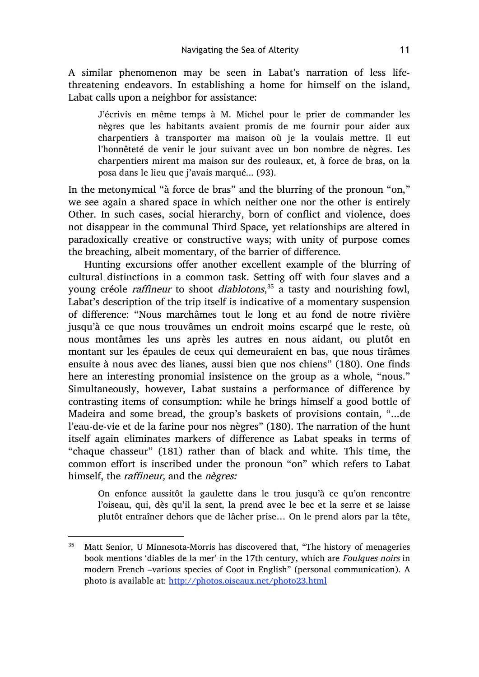A similar phenomenon may be seen in Labat's narration of less lifethreatening endeavors. In establishing a home for himself on the island, Labat calls upon a neighbor for assistance:

J'écrivis en même temps à M. Michel pour le prier de commander les nègres que les habitants avaient promis de me fournir pour aider aux charpentiers à transporter ma maison où je la voulais mettre. Il eut l'honnêteté de venir le jour suivant avec un bon nombre de nègres. Les charpentiers mirent ma maison sur des rouleaux, et, à force de bras, on la posa dans le lieu que j'avais marqué... (93).

In the metonymical "à force de bras" and the blurring of the pronoun "on," we see again a shared space in which neither one nor the other is entirely Other. In such cases, social hierarchy, born of conflict and violence, does not disappear in the communal Third Space, yet relationships are altered in paradoxically creative or constructive ways; with unity of purpose comes the breaching, albeit momentary, of the barrier of difference.

Hunting excursions offer another excellent example of the blurring of cultural distinctions in a common task. Setting off with four slaves and a young créole *raffineur* to shoot *diablotons*,<sup>35</sup> a tasty and nourishing fowl, Labat's description of the trip itself is indicative of a momentary suspension of difference: "Nous marchâmes tout le long et au fond de notre rivière jusqu'à ce que nous trouvâmes un endroit moins escarpé que le reste, où nous montâmes les uns après les autres en nous aidant, ou plutôt en montant sur les épaules de ceux qui demeuraient en bas, que nous tirâmes ensuite à nous avec des lianes, aussi bien que nos chiens" (180). One finds here an interesting pronomial insistence on the group as a whole, "nous." Simultaneously, however, Labat sustains a performance of difference by contrasting items of consumption: while he brings himself a good bottle of Madeira and some bread, the group's baskets of provisions contain, "...de l'eau-de-vie et de la farine pour nos nègres" (180). The narration of the hunt itself again eliminates markers of difference as Labat speaks in terms of "chaque chasseur" (181) rather than of black and white. This time, the common effort is inscribed under the pronoun "on" which refers to Labat himself, the raffineur, and the nègres:

On enfonce aussitôt la gaulette dans le trou jusqu'à ce qu'on rencontre l'oiseau, qui, dès qu'il la sent, la prend avec le bec et la serre et se laisse plutôt entraîner dehors que de lâcher prise… On le prend alors par la tête,

<sup>&</sup>lt;sup>35</sup> Matt Senior, U Minnesota-Morris has discovered that, "The history of menageries book mentions 'diables de la mer' in the 17th century, which are Foulques noirs in modern French –various species of Coot in English" (personal communication). A photo is available at: http://photos.oiseaux.net/photo23.html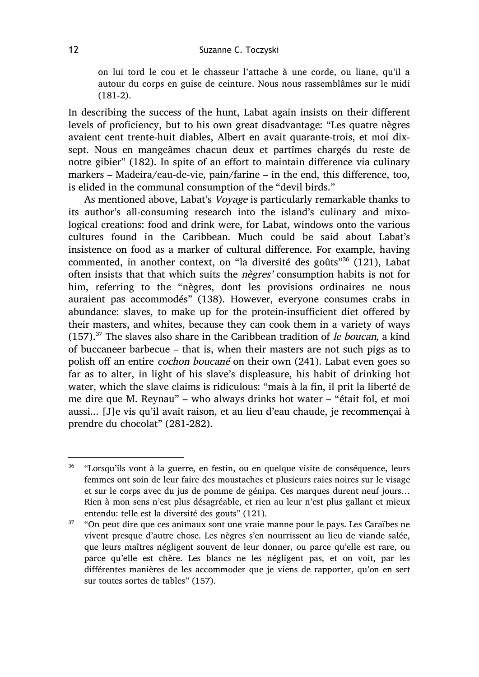on lui tord le cou et le chasseur l'attache à une corde, ou liane, qu'il a autour du corps en guise de ceinture. Nous nous rassemblâmes sur le midi (181-2).

In describing the success of the hunt, Labat again insists on their different levels of proficiency, but to his own great disadvantage: "Les quatre nègres avaient cent trente-huit diables, Albert en avait quarante-trois, et moi dixsept. Nous en mangeâmes chacun deux et partîmes chargés du reste de notre gibier" (182). In spite of an effort to maintain difference via culinary markers – Madeira/eau-de-vie, pain/farine – in the end, this difference, too, is elided in the communal consumption of the "devil birds."

As mentioned above, Labat's Voyage is particularly remarkable thanks to its author's all-consuming research into the island's culinary and mixological creations: food and drink were, for Labat, windows onto the various cultures found in the Caribbean. Much could be said about Labat's insistence on food as a marker of cultural difference. For example, having commented, in another context, on "la diversité des goûts"36 (121), Labat often insists that that which suits the nègres' consumption habits is not for him, referring to the "nègres, dont les provisions ordinaires ne nous auraient pas accommodés" (138). However, everyone consumes crabs in abundance: slaves, to make up for the protein-insufficient diet offered by their masters, and whites, because they can cook them in a variety of ways  $(157).$ <sup>37</sup> The slaves also share in the Caribbean tradition of *le boucan*, a kind of buccaneer barbecue – that is, when their masters are not such pigs as to polish off an entire cochon boucané on their own (241). Labat even goes so far as to alter, in light of his slave's displeasure, his habit of drinking hot water, which the slave claims is ridiculous: "mais à la fin, il prit la liberté de me dire que M. Reynau" – who always drinks hot water – "était fol, et moi aussi... [J]e vis qu'il avait raison, et au lieu d'eau chaude, je recommençai à prendre du chocolat" (281-282).

<sup>&</sup>lt;sup>36</sup> "Lorsqu'ils vont à la guerre, en festin, ou en quelque visite de conséquence, leurs femmes ont soin de leur faire des moustaches et plusieurs raies noires sur le visage et sur le corps avec du jus de pomme de génipa. Ces marques durent neuf jours… Rien à mon sens n'est plus désagréable, et rien au leur n'est plus gallant et mieux entendu: telle est la diversité des gouts" (121).

 $37$  "On peut dire que ces animaux sont une vraie manne pour le pays. Les Caraïbes ne vivent presque d'autre chose. Les nègres s'en nourrissent au lieu de viande salée, que leurs maîtres négligent souvent de leur donner, ou parce qu'elle est rare, ou parce qu'elle est chère. Les blancs ne les négligent pas, et on voit, par les différentes manières de les accommoder que je viens de rapporter, qu'on en sert sur toutes sortes de tables" (157).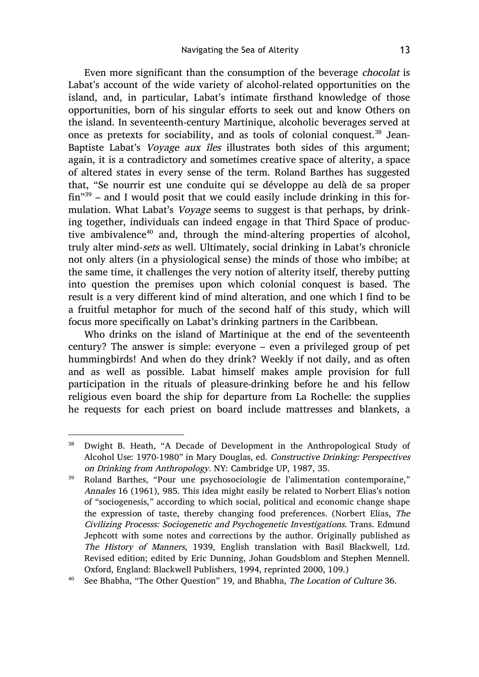Even more significant than the consumption of the beverage chocolat is Labat's account of the wide variety of alcohol-related opportunities on the island, and, in particular, Labat's intimate firsthand knowledge of those opportunities, born of his singular efforts to seek out and know Others on the island. In seventeenth-century Martinique, alcoholic beverages served at once as pretexts for sociability, and as tools of colonial conquest.<sup>38</sup> Jean-Baptiste Labat's *Voyage aux îles* illustrates both sides of this argument; again, it is a contradictory and sometimes creative space of alterity, a space of altered states in every sense of the term. Roland Barthes has suggested that, "Se nourrir est une conduite qui se développe au delà de sa proper  $fin$ <sup>39</sup> – and I would posit that we could easily include drinking in this formulation. What Labat's Voyage seems to suggest is that perhaps, by drinking together, individuals can indeed engage in that Third Space of productive ambivalence<sup>40</sup> and, through the mind-altering properties of alcohol, truly alter mind-sets as well. Ultimately, social drinking in Labat's chronicle not only alters (in a physiological sense) the minds of those who imbibe; at the same time, it challenges the very notion of alterity itself, thereby putting into question the premises upon which colonial conquest is based. The result is a very different kind of mind alteration, and one which I find to be a fruitful metaphor for much of the second half of this study, which will focus more specifically on Labat's drinking partners in the Caribbean.

Who drinks on the island of Martinique at the end of the seventeenth century? The answer is simple: everyone – even a privileged group of pet hummingbirds! And when do they drink? Weekly if not daily, and as often and as well as possible. Labat himself makes ample provision for full participation in the rituals of pleasure-drinking before he and his fellow religious even board the ship for departure from La Rochelle: the supplies he requests for each priest on board include mattresses and blankets, a

<sup>&</sup>lt;sup>38</sup> Dwight B. Heath, "A Decade of Development in the Anthropological Study of Alcohol Use: 1970-1980" in Mary Douglas, ed. Constructive Drinking: Perspectives on Drinking from Anthropology. NY: Cambridge UP, 1987, 35.

<sup>39</sup> Roland Barthes, "Pour une psychosociologie de l'alimentation contemporaine," Annales 16 (1961), 985. This idea might easily be related to Norbert Elias's notion of "sociogenesis," according to which social, political and economic change shape the expression of taste, thereby changing food preferences. (Norbert Elias, The Civilizing Processs: Sociogenetic and Psychogenetic Investigations. Trans. Edmund Jephcott with some notes and corrections by the author. Originally published as The History of Manners, 1939, English translation with Basil Blackwell, Ltd. Revised edition; edited by Eric Dunning, Johan Goudsblom and Stephen Mennell. Oxford, England: Blackwell Publishers, 1994, reprinted 2000, 109.)

<sup>&</sup>lt;sup>40</sup> See Bhabha, "The Other Question" 19, and Bhabha, *The Location of Culture* 36.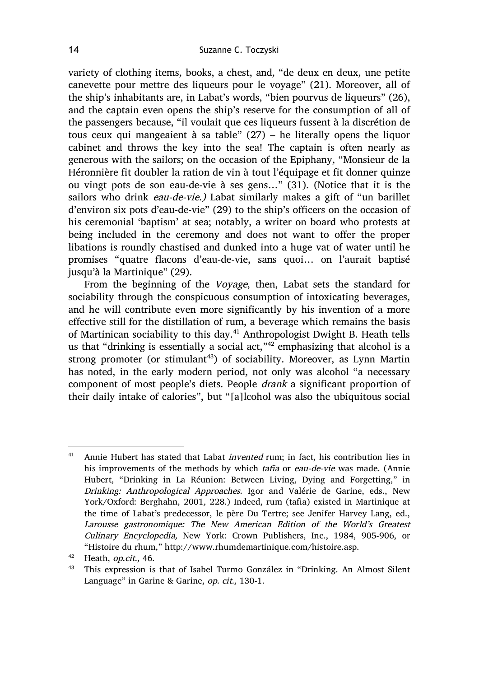variety of clothing items, books, a chest, and, "de deux en deux, une petite canevette pour mettre des liqueurs pour le voyage" (21). Moreover, all of the ship's inhabitants are, in Labat's words, "bien pourvus de liqueurs" (26), and the captain even opens the ship's reserve for the consumption of all of the passengers because, "il voulait que ces liqueurs fussent à la discrétion de tous ceux qui mangeaient à sa table" (27) – he literally opens the liquor cabinet and throws the key into the sea! The captain is often nearly as generous with the sailors; on the occasion of the Epiphany, "Monsieur de la Héronnière fit doubler la ration de vin à tout l'équipage et fit donner quinze ou vingt pots de son eau-de-vie à ses gens…" (31). (Notice that it is the sailors who drink eau-de-vie.) Labat similarly makes a gift of "un barillet d'environ six pots d'eau-de-vie" (29) to the ship's officers on the occasion of his ceremonial 'baptism' at sea; notably, a writer on board who protests at being included in the ceremony and does not want to offer the proper libations is roundly chastised and dunked into a huge vat of water until he promises "quatre flacons d'eau-de-vie, sans quoi… on l'aurait baptisé jusqu'à la Martinique" (29).

From the beginning of the Voyage, then, Labat sets the standard for sociability through the conspicuous consumption of intoxicating beverages, and he will contribute even more significantly by his invention of a more effective still for the distillation of rum, a beverage which remains the basis of Martinican sociability to this day.<sup>41</sup> Anthropologist Dwight B. Heath tells us that "drinking is essentially a social act,"42 emphasizing that alcohol is a strong promoter (or stimulant<sup>43</sup>) of sociability. Moreover, as Lynn Martin has noted, in the early modern period, not only was alcohol "a necessary component of most people's diets. People drank a significant proportion of their daily intake of calories", but "[a]lcohol was also the ubiquitous social

 $41$  Annie Hubert has stated that Labat *invented* rum; in fact, his contribution lies in his improvements of the methods by which tafia or eau-de-vie was made. (Annie Hubert, "Drinking in La Réunion: Between Living, Dying and Forgetting," in Drinking: Anthropological Approaches. Igor and Valérie de Garine, eds., New York/Oxford: Berghahn, 2001, 228.) Indeed, rum (tafia) existed in Martinique at the time of Labat's predecessor, le père Du Tertre; see Jenifer Harvey Lang, ed., Larousse gastronomique: The New American Edition of the World's Greatest Culinary Encyclopedia, New York: Crown Publishers, Inc., 1984, 905-906, or "Histoire du rhum," http://www.rhumdemartinique.com/histoire.asp.

<sup>&</sup>lt;sup>42</sup> Heath, *op.cit.*, 46.<br><sup>43</sup> This expression is

<sup>43</sup> This expression is that of Isabel Turmo González in "Drinking. An Almost Silent Language" in Garine & Garine, op. cit., 130-1.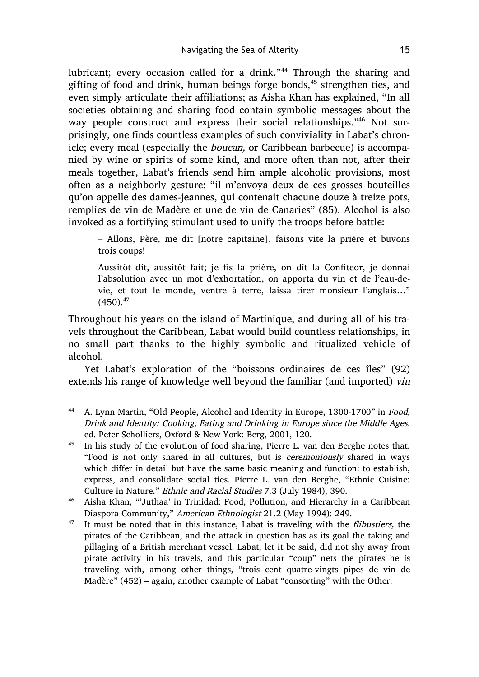lubricant; every occasion called for a drink."<sup>44</sup> Through the sharing and gifting of food and drink, human beings forge bonds, $45$  strengthen ties, and even simply articulate their affiliations; as Aisha Khan has explained, "In all societies obtaining and sharing food contain symbolic messages about the way people construct and express their social relationships."<sup>46</sup> Not surprisingly, one finds countless examples of such conviviality in Labat's chronicle; every meal (especially the boucan, or Caribbean barbecue) is accompanied by wine or spirits of some kind, and more often than not, after their meals together, Labat's friends send him ample alcoholic provisions, most often as a neighborly gesture: "il m'envoya deux de ces grosses bouteilles qu'on appelle des dames-jeannes, qui contenait chacune douze à treize pots, remplies de vin de Madère et une de vin de Canaries" (85). Alcohol is also invoked as a fortifying stimulant used to unify the troops before battle:

– Allons, Père, me dit [notre capitaine], faisons vite la prière et buvons trois coups!

Aussitôt dit, aussitôt fait; je fis la prière, on dit la Confiteor, je donnai l'absolution avec un mot d'exhortation, on apporta du vin et de l'eau-devie, et tout le monde, ventre à terre, laissa tirer monsieur l'anglais…"  $(450).^{47}$ 

Throughout his years on the island of Martinique, and during all of his travels throughout the Caribbean, Labat would build countless relationships, in no small part thanks to the highly symbolic and ritualized vehicle of alcohol.

Yet Labat's exploration of the "boissons ordinaires de ces îles" (92) extends his range of knowledge well beyond the familiar (and imported) vin

<sup>&</sup>lt;sup>44</sup> A. Lynn Martin, "Old People, Alcohol and Identity in Europe, 1300-1700" in *Food*, Drink and Identity: Cooking, Eating and Drinking in Europe since the Middle Ages, ed. Peter Scholliers, Oxford & New York: Berg, 2001, 120.

<sup>&</sup>lt;sup>45</sup> In his study of the evolution of food sharing, Pierre L. van den Berghe notes that, "Food is not only shared in all cultures, but is ceremoniously shared in ways which differ in detail but have the same basic meaning and function: to establish, express, and consolidate social ties. Pierre L. van den Berghe, "Ethnic Cuisine: Culture in Nature." Ethnic and Racial Studies 7.3 (July 1984), 390.

<sup>46</sup> Aisha Khan, "'Juthaa' in Trinidad: Food, Pollution, and Hierarchy in a Caribbean Diaspora Community," American Ethnologist 21.2 (May 1994): 249.

 $47$  It must be noted that in this instance, Labat is traveling with the *flibustiers*, the pirates of the Caribbean, and the attack in question has as its goal the taking and pillaging of a British merchant vessel. Labat, let it be said, did not shy away from pirate activity in his travels, and this particular "coup" nets the pirates he is traveling with, among other things, "trois cent quatre-vingts pipes de vin de Madère" (452) – again, another example of Labat "consorting" with the Other.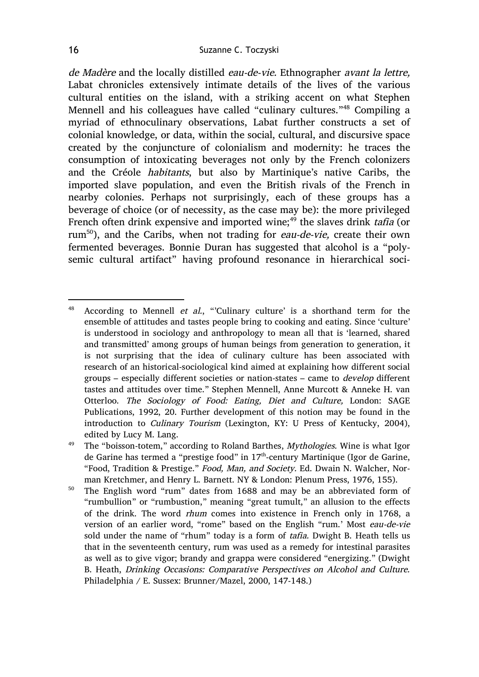de Madère and the locally distilled eau-de-vie. Ethnographer avant la lettre, Labat chronicles extensively intimate details of the lives of the various cultural entities on the island, with a striking accent on what Stephen Mennell and his colleagues have called "culinary cultures."<sup>48</sup> Compiling a myriad of ethnoculinary observations, Labat further constructs a set of colonial knowledge, or data, within the social, cultural, and discursive space created by the conjuncture of colonialism and modernity: he traces the consumption of intoxicating beverages not only by the French colonizers and the Créole habitants, but also by Martinique's native Caribs, the imported slave population, and even the British rivals of the French in nearby colonies. Perhaps not surprisingly, each of these groups has a beverage of choice (or of necessity, as the case may be): the more privileged French often drink expensive and imported wine;<sup>49</sup> the slaves drink tafia (or rum<sup>50</sup>), and the Caribs, when not trading for *eau-de-vie*, create their own fermented beverages. Bonnie Duran has suggested that alcohol is a "polysemic cultural artifact" having profound resonance in hierarchical soci-

<sup>&</sup>lt;sup>48</sup> According to Mennell *et al.*, "Culinary culture' is a shorthand term for the ensemble of attitudes and tastes people bring to cooking and eating. Since 'culture' is understood in sociology and anthropology to mean all that is 'learned, shared and transmitted' among groups of human beings from generation to generation, it is not surprising that the idea of culinary culture has been associated with research of an historical-sociological kind aimed at explaining how different social groups – especially different societies or nation-states – came to develop different tastes and attitudes over time." Stephen Mennell, Anne Murcott & Anneke H. van Otterloo. The Sociology of Food: Eating, Diet and Culture, London: SAGE Publications, 1992, 20. Further development of this notion may be found in the introduction to Culinary Tourism (Lexington, KY: U Press of Kentucky, 2004), edited by Lucy M. Lang.

<sup>&</sup>lt;sup>49</sup> The "boisson-totem," according to Roland Barthes, *Mythologies*. Wine is what Igor de Garine has termed a "prestige food" in 17<sup>th</sup>-century Martinique (Igor de Garine, "Food, Tradition & Prestige." Food, Man, and Society. Ed. Dwain N. Walcher, Norman Kretchmer, and Henry L. Barnett. NY & London: Plenum Press, 1976, 155).

<sup>50</sup> The English word "rum" dates from 1688 and may be an abbreviated form of "rumbullion" or "rumbustion," meaning "great tumult," an allusion to the effects of the drink. The word rhum comes into existence in French only in 1768, a version of an earlier word, "rome" based on the English "rum.' Most eau-de-vie sold under the name of "rhum" today is a form of tafia. Dwight B. Heath tells us that in the seventeenth century, rum was used as a remedy for intestinal parasites as well as to give vigor; brandy and grappa were considered "energizing." (Dwight B. Heath, Drinking Occasions: Comparative Perspectives on Alcohol and Culture. Philadelphia / E. Sussex: Brunner/Mazel, 2000, 147-148.)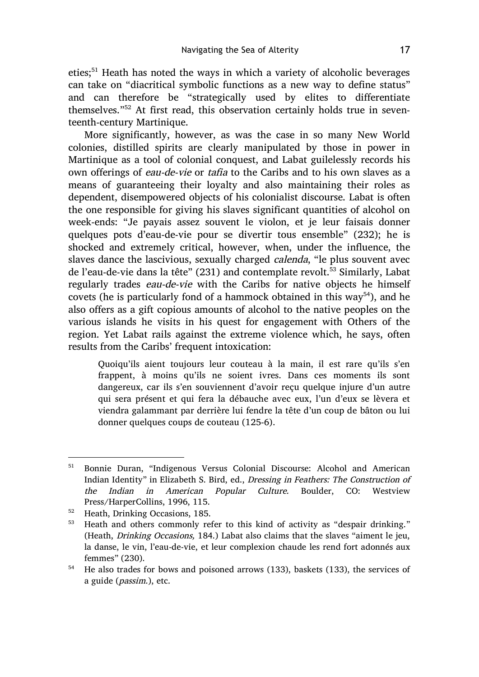eties;<sup>51</sup> Heath has noted the ways in which a variety of alcoholic beverages can take on "diacritical symbolic functions as a new way to define status" and can therefore be "strategically used by elites to differentiate themselves."<sup>52</sup> At first read, this observation certainly holds true in seventeenth-century Martinique.

More significantly, however, as was the case in so many New World colonies, distilled spirits are clearly manipulated by those in power in Martinique as a tool of colonial conquest, and Labat guilelessly records his own offerings of eau-de-vie or tafia to the Caribs and to his own slaves as a means of guaranteeing their loyalty and also maintaining their roles as dependent, disempowered objects of his colonialist discourse. Labat is often the one responsible for giving his slaves significant quantities of alcohol on week-ends: "Je payais assez souvent le violon, et je leur faisais donner quelques pots d'eau-de-vie pour se divertir tous ensemble" (232); he is shocked and extremely critical, however, when, under the influence, the slaves dance the lascivious, sexually charged calenda, "le plus souvent avec de l'eau-de-vie dans la tête" (231) and contemplate revolt.<sup>53</sup> Similarly, Labat regularly trades eau-de-vie with the Caribs for native objects he himself covets (he is particularly fond of a hammock obtained in this way<sup>54</sup>), and he also offers as a gift copious amounts of alcohol to the native peoples on the various islands he visits in his quest for engagement with Others of the region. Yet Labat rails against the extreme violence which, he says, often results from the Caribs' frequent intoxication:

Quoiqu'ils aient toujours leur couteau à la main, il est rare qu'ils s'en frappent, à moins qu'ils ne soient ivres. Dans ces moments ils sont dangereux, car ils s'en souviennent d'avoir reçu quelque injure d'un autre qui sera présent et qui fera la débauche avec eux, l'un d'eux se lèvera et viendra galammant par derrière lui fendre la tête d'un coup de bâton ou lui donner quelques coups de couteau (125-6).

 <sup>51</sup> Bonnie Duran, "Indigenous Versus Colonial Discourse: Alcohol and American Indian Identity" in Elizabeth S. Bird, ed., Dressing in Feathers: The Construction of the Indian in American Popular Culture. Boulder, CO: Westview Press/HarperCollins, 1996, 115.

<sup>52</sup> Heath, Drinking Occasions, 185.

<sup>&</sup>lt;sup>53</sup> Heath and others commonly refer to this kind of activity as "despair drinking." (Heath, Drinking Occasions, 184.) Labat also claims that the slaves "aiment le jeu, la danse, le vin, l'eau-de-vie, et leur complexion chaude les rend fort adonnés aux femmes" (230).

<sup>54</sup> He also trades for bows and poisoned arrows (133), baskets (133), the services of a guide (passim.), etc.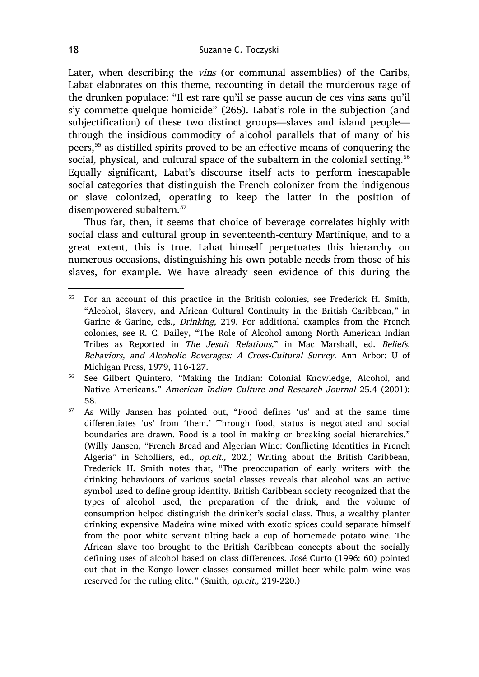Later, when describing the vins (or communal assemblies) of the Caribs, Labat elaborates on this theme, recounting in detail the murderous rage of the drunken populace: "Il est rare qu'il se passe aucun de ces vins sans qu'il s'y commette quelque homicide" (265). Labat's role in the subjection (and subjectification) of these two distinct groups—slaves and island people through the insidious commodity of alcohol parallels that of many of his peers,55 as distilled spirits proved to be an effective means of conquering the social, physical, and cultural space of the subaltern in the colonial setting.<sup>56</sup> Equally significant, Labat's discourse itself acts to perform inescapable social categories that distinguish the French colonizer from the indigenous or slave colonized, operating to keep the latter in the position of disempowered subaltern.<sup>57</sup>

Thus far, then, it seems that choice of beverage correlates highly with social class and cultural group in seventeenth-century Martinique, and to a great extent, this is true. Labat himself perpetuates this hierarchy on numerous occasions, distinguishing his own potable needs from those of his slaves, for example. We have already seen evidence of this during the

 <sup>55</sup> For an account of this practice in the British colonies, see Frederick H. Smith, "Alcohol, Slavery, and African Cultural Continuity in the British Caribbean," in Garine & Garine, eds., Drinking, 219. For additional examples from the French colonies, see R. C. Dailey, "The Role of Alcohol among North American Indian Tribes as Reported in The Jesuit Relations," in Mac Marshall, ed. Beliefs, Behaviors, and Alcoholic Beverages: A Cross-Cultural Survey. Ann Arbor: U of Michigan Press, 1979, 116-127.

<sup>56</sup> See Gilbert Quintero, "Making the Indian: Colonial Knowledge, Alcohol, and Native Americans." American Indian Culture and Research Journal 25.4 (2001): 58.

<sup>57</sup> As Willy Jansen has pointed out, "Food defines 'us' and at the same time differentiates 'us' from 'them.' Through food, status is negotiated and social boundaries are drawn. Food is a tool in making or breaking social hierarchies." (Willy Jansen, "French Bread and Algerian Wine: Conflicting Identities in French Algeria" in Scholliers, ed., op.cit., 202.) Writing about the British Caribbean, Frederick H. Smith notes that, "The preoccupation of early writers with the drinking behaviours of various social classes reveals that alcohol was an active symbol used to define group identity. British Caribbean society recognized that the types of alcohol used, the preparation of the drink, and the volume of consumption helped distinguish the drinker's social class. Thus, a wealthy planter drinking expensive Madeira wine mixed with exotic spices could separate himself from the poor white servant tilting back a cup of homemade potato wine. The African slave too brought to the British Caribbean concepts about the socially defining uses of alcohol based on class differences. José Curto (1996: 60) pointed out that in the Kongo lower classes consumed millet beer while palm wine was reserved for the ruling elite." (Smith, op.cit., 219-220.)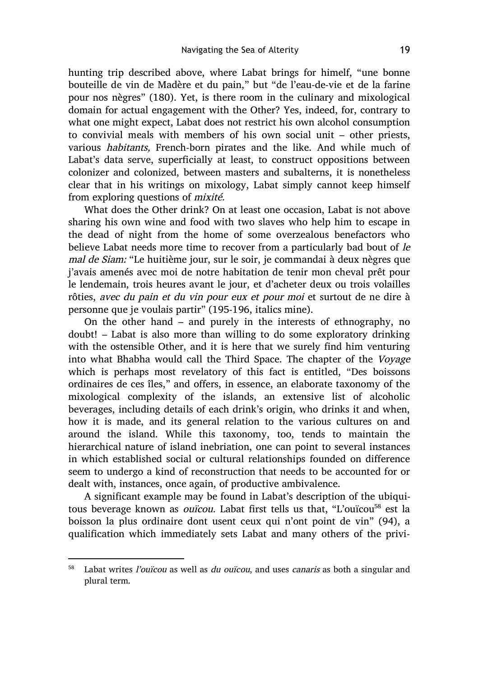hunting trip described above, where Labat brings for himelf, "une bonne bouteille de vin de Madère et du pain," but "de l'eau-de-vie et de la farine pour nos nègres" (180). Yet, is there room in the culinary and mixological domain for actual engagement with the Other? Yes, indeed, for, contrary to what one might expect, Labat does not restrict his own alcohol consumption to convivial meals with members of his own social unit – other priests, various habitants, French-born pirates and the like. And while much of Labat's data serve, superficially at least, to construct oppositions between colonizer and colonized, between masters and subalterns, it is nonetheless clear that in his writings on mixology, Labat simply cannot keep himself from exploring questions of mixité.

What does the Other drink? On at least one occasion, Labat is not above sharing his own wine and food with two slaves who help him to escape in the dead of night from the home of some overzealous benefactors who believe Labat needs more time to recover from a particularly bad bout of le mal de Siam: "Le huitième jour, sur le soir, je commandai à deux nègres que j'avais amenés avec moi de notre habitation de tenir mon cheval prêt pour le lendemain, trois heures avant le jour, et d'acheter deux ou trois volailles rôties, avec du pain et du vin pour eux et pour moi et surtout de ne dire à personne que je voulais partir" (195-196, italics mine).

On the other hand – and purely in the interests of ethnography, no doubt! – Labat is also more than willing to do some exploratory drinking with the ostensible Other, and it is here that we surely find him venturing into what Bhabha would call the Third Space. The chapter of the Voyage which is perhaps most revelatory of this fact is entitled, "Des boissons ordinaires de ces îles," and offers, in essence, an elaborate taxonomy of the mixological complexity of the islands, an extensive list of alcoholic beverages, including details of each drink's origin, who drinks it and when, how it is made, and its general relation to the various cultures on and around the island. While this taxonomy, too, tends to maintain the hierarchical nature of island inebriation, one can point to several instances in which established social or cultural relationships founded on difference seem to undergo a kind of reconstruction that needs to be accounted for or dealt with, instances, once again, of productive ambivalence.

A significant example may be found in Labat's description of the ubiquitous beverage known as *ouïcou*. Labat first tells us that, "L'ouïcou<sup>58</sup> est la boisson la plus ordinaire dont usent ceux qui n'ont point de vin" (94), a qualification which immediately sets Labat and many others of the privi-

 $58$  Labat writes *l'ouïcou* as well as *du ouïcou*, and uses *canaris* as both a singular and plural term.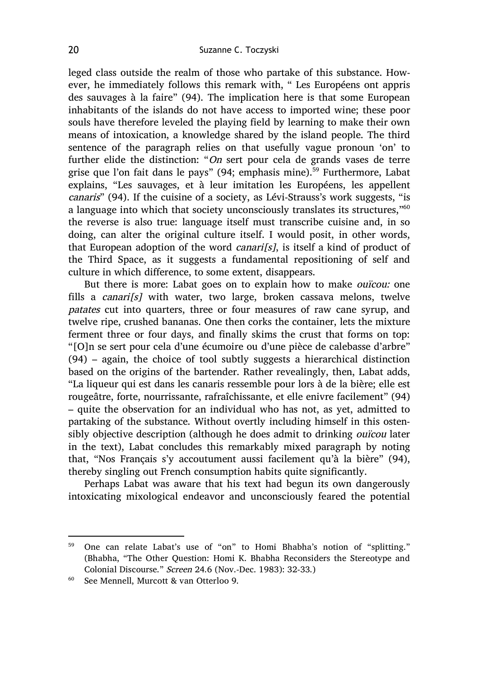leged class outside the realm of those who partake of this substance. However, he immediately follows this remark with, " Les Européens ont appris des sauvages à la faire" (94). The implication here is that some European inhabitants of the islands do not have access to imported wine; these poor souls have therefore leveled the playing field by learning to make their own means of intoxication, a knowledge shared by the island people. The third sentence of the paragraph relies on that usefully vague pronoun 'on' to further elide the distinction: "On sert pour cela de grands vases de terre grise que l'on fait dans le pays" (94; emphasis mine).<sup>59</sup> Furthermore, Labat explains, "Les sauvages, et à leur imitation les Européens, les appellent canaris" (94). If the cuisine of a society, as Lévi-Strauss's work suggests, "is a language into which that society unconsciously translates its structures,"<sup>60</sup> the reverse is also true: language itself must transcribe cuisine and, in so doing, can alter the original culture itself. I would posit, in other words, that European adoption of the word *canari* [s], is itself a kind of product of the Third Space, as it suggests a fundamental repositioning of self and culture in which difference, to some extent, disappears.

But there is more: Labat goes on to explain how to make *ouïcou:* one fills a *canari*[ $s$ ] with water, two large, broken cassava melons, twelve patates cut into quarters, three or four measures of raw cane syrup, and twelve ripe, crushed bananas. One then corks the container, lets the mixture ferment three or four days, and finally skims the crust that forms on top: "[O]n se sert pour cela d'une écumoire ou d'une pièce de calebasse d'arbre" (94) – again, the choice of tool subtly suggests a hierarchical distinction based on the origins of the bartender. Rather revealingly, then, Labat adds, "La liqueur qui est dans les canaris ressemble pour lors à de la bière; elle est rougeâtre, forte, nourrissante, rafraîchissante, et elle enivre facilement" (94) – quite the observation for an individual who has not, as yet, admitted to partaking of the substance. Without overtly including himself in this ostensibly objective description (although he does admit to drinking ouïcou later in the text), Labat concludes this remarkably mixed paragraph by noting that, "Nos Français s'y accoutument aussi facilement qu'à la bière" (94), thereby singling out French consumption habits quite significantly.

Perhaps Labat was aware that his text had begun its own dangerously intoxicating mixological endeavor and unconsciously feared the potential

 <sup>59</sup> One can relate Labat's use of "on" to Homi Bhabha's notion of "splitting." (Bhabha, "The Other Question: Homi K. Bhabha Reconsiders the Stereotype and Colonial Discourse." Screen 24.6 (Nov.-Dec. 1983): 32-33.)

<sup>60</sup> See Mennell, Murcott & van Otterloo 9.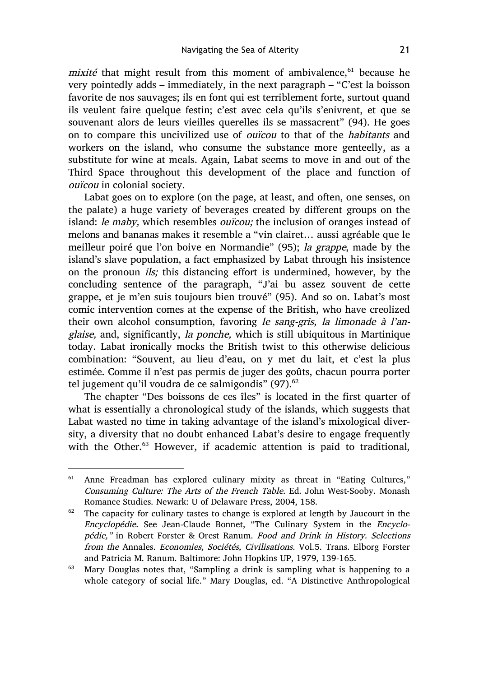mixité that might result from this moment of ambivalence, $61$  because he very pointedly adds – immediately, in the next paragraph – "C'est la boisson favorite de nos sauvages; ils en font qui est terriblement forte, surtout quand ils veulent faire quelque festin; c'est avec cela qu'ils s'enivrent, et que se souvenant alors de leurs vieilles querelles ils se massacrent" (94). He goes on to compare this uncivilized use of ouïcou to that of the habitants and workers on the island, who consume the substance more genteelly, as a substitute for wine at meals. Again, Labat seems to move in and out of the Third Space throughout this development of the place and function of ouïcou in colonial society.

Labat goes on to explore (on the page, at least, and often, one senses, on the palate) a huge variety of beverages created by different groups on the island: *le maby*, which resembles *ouïcou*; the inclusion of oranges instead of melons and bananas makes it resemble a "vin clairet… aussi agréable que le meilleur poiré que l'on boive en Normandie" (95); la grappe, made by the island's slave population, a fact emphasized by Labat through his insistence on the pronoun ils; this distancing effort is undermined, however, by the concluding sentence of the paragraph, "J'ai bu assez souvent de cette grappe, et je m'en suis toujours bien trouvé" (95). And so on. Labat's most comic intervention comes at the expense of the British, who have creolized their own alcohol consumption, favoring le sang-gris, la limonade à l'anglaise, and, significantly, la ponche, which is still ubiquitous in Martinique today. Labat ironically mocks the British twist to this otherwise delicious combination: "Souvent, au lieu d'eau, on y met du lait, et c'est la plus estimée. Comme il n'est pas permis de juger des goûts, chacun pourra porter tel jugement qu'il voudra de ce salmigondis"  $(97)$ .<sup>62</sup>

The chapter "Des boissons de ces îles" is located in the first quarter of what is essentially a chronological study of the islands, which suggests that Labat wasted no time in taking advantage of the island's mixological diversity, a diversity that no doubt enhanced Labat's desire to engage frequently with the Other.<sup>63</sup> However, if academic attention is paid to traditional,

<sup>&</sup>lt;sup>61</sup> Anne Freadman has explored culinary mixity as threat in "Eating Cultures," Consuming Culture: The Arts of the French Table. Ed. John West-Sooby. Monash Romance Studies. Newark: U of Delaware Press, 2004, 158.

 $62$  The capacity for culinary tastes to change is explored at length by Jaucourt in the Encyclopédie. See Jean-Claude Bonnet, "The Culinary System in the Encyclopédie," in Robert Forster & Orest Ranum. Food and Drink in History. Selections from the Annales. Economies, Sociétés, Civilisations. Vol.5. Trans. Elborg Forster and Patricia M. Ranum. Baltimore: John Hopkins UP, 1979, 139-165.

 $63$  Mary Douglas notes that, "Sampling a drink is sampling what is happening to a whole category of social life." Mary Douglas, ed. "A Distinctive Anthropological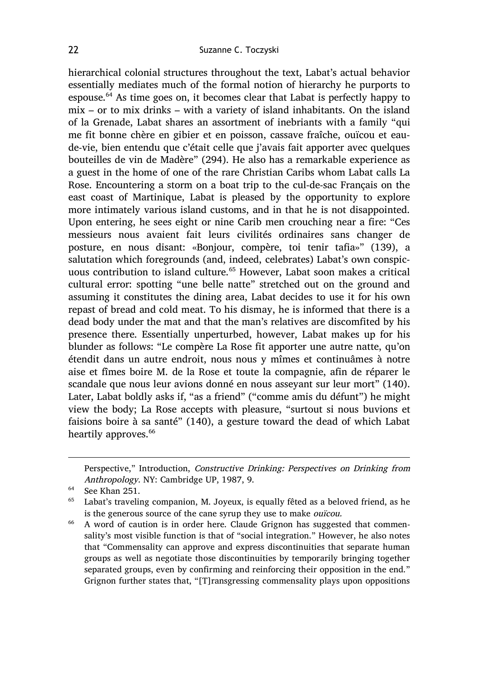hierarchical colonial structures throughout the text, Labat's actual behavior essentially mediates much of the formal notion of hierarchy he purports to espouse. $64$  As time goes on, it becomes clear that Labat is perfectly happy to mix – or to mix drinks – with a variety of island inhabitants. On the island of la Grenade, Labat shares an assortment of inebriants with a family "qui me fit bonne chère en gibier et en poisson, cassave fraîche, ouïcou et eaude-vie, bien entendu que c'était celle que j'avais fait apporter avec quelques bouteilles de vin de Madère" (294). He also has a remarkable experience as a guest in the home of one of the rare Christian Caribs whom Labat calls La Rose. Encountering a storm on a boat trip to the cul-de-sac Français on the east coast of Martinique, Labat is pleased by the opportunity to explore more intimately various island customs, and in that he is not disappointed. Upon entering, he sees eight or nine Carib men crouching near a fire: "Ces messieurs nous avaient fait leurs civilités ordinaires sans changer de posture, en nous disant: «Bonjour, compère, toi tenir tafia»" (139), a salutation which foregrounds (and, indeed, celebrates) Labat's own conspicuous contribution to island culture.<sup>65</sup> However, Labat soon makes a critical cultural error: spotting "une belle natte" stretched out on the ground and assuming it constitutes the dining area, Labat decides to use it for his own repast of bread and cold meat. To his dismay, he is informed that there is a dead body under the mat and that the man's relatives are discomfited by his presence there. Essentially unperturbed, however, Labat makes up for his blunder as follows: "Le compère La Rose fit apporter une autre natte, qu'on étendit dans un autre endroit, nous nous y mîmes et continuâmes à notre aise et fîmes boire M. de la Rose et toute la compagnie, afin de réparer le scandale que nous leur avions donné en nous asseyant sur leur mort" (140). Later, Labat boldly asks if, "as a friend" ("comme amis du défunt") he might view the body; La Rose accepts with pleasure, "surtout si nous buvions et faisions boire à sa santé" (140), a gesture toward the dead of which Labat heartily approves.<sup>66</sup>

 $\overline{a}$ 

Perspective," Introduction, Constructive Drinking: Perspectives on Drinking from Anthropology. NY: Cambridge UP, 1987, 9.

<sup>64</sup> See Khan 251.

 $65$  Labat's traveling companion, M. Joyeux, is equally fêted as a beloved friend, as he is the generous source of the cane syrup they use to make ouïcou.

<sup>66</sup> A word of caution is in order here. Claude Grignon has suggested that commensality's most visible function is that of "social integration." However, he also notes that "Commensality can approve and express discontinuities that separate human groups as well as negotiate those discontinuities by temporarily bringing together separated groups, even by confirming and reinforcing their opposition in the end." Grignon further states that, "[T]ransgressing commensality plays upon oppositions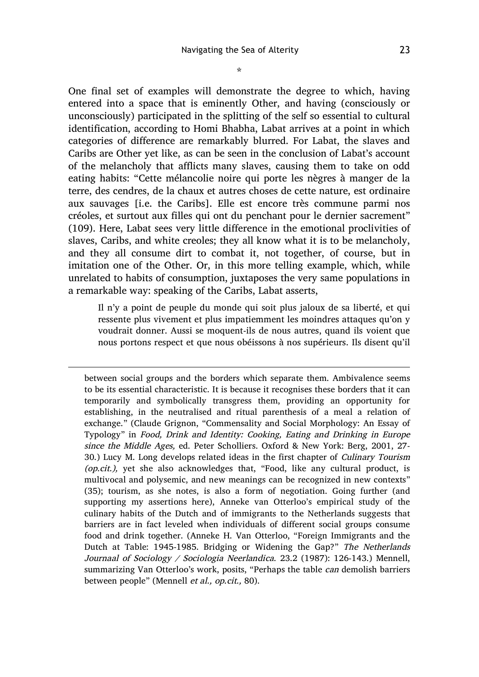\*

One final set of examples will demonstrate the degree to which, having entered into a space that is eminently Other, and having (consciously or unconsciously) participated in the splitting of the self so essential to cultural identification, according to Homi Bhabha, Labat arrives at a point in which categories of difference are remarkably blurred. For Labat, the slaves and Caribs are Other yet like, as can be seen in the conclusion of Labat's account of the melancholy that afflicts many slaves, causing them to take on odd eating habits: "Cette mélancolie noire qui porte les nègres à manger de la terre, des cendres, de la chaux et autres choses de cette nature, est ordinaire aux sauvages [i.e. the Caribs]. Elle est encore très commune parmi nos créoles, et surtout aux filles qui ont du penchant pour le dernier sacrement" (109). Here, Labat sees very little difference in the emotional proclivities of slaves, Caribs, and white creoles; they all know what it is to be melancholy, and they all consume dirt to combat it, not together, of course, but in imitation one of the Other. Or, in this more telling example, which, while unrelated to habits of consumption, juxtaposes the very same populations in a remarkable way: speaking of the Caribs, Labat asserts,

Il n'y a point de peuple du monde qui soit plus jaloux de sa liberté, et qui ressente plus vivement et plus impatiemment les moindres attaques qu'on y voudrait donner. Aussi se moquent-ils de nous autres, quand ils voient que nous portons respect et que nous obéissons à nos supérieurs. Ils disent qu'il

 $\overline{a}$ 

between social groups and the borders which separate them. Ambivalence seems to be its essential characteristic. It is because it recognises these borders that it can temporarily and symbolically transgress them, providing an opportunity for establishing, in the neutralised and ritual parenthesis of a meal a relation of exchange." (Claude Grignon, "Commensality and Social Morphology: An Essay of Typology" in Food, Drink and Identity: Cooking, Eating and Drinking in Europe since the Middle Ages, ed. Peter Scholliers. Oxford & New York: Berg, 2001, 27- 30.) Lucy M. Long develops related ideas in the first chapter of Culinary Tourism (op.cit.), yet she also acknowledges that, "Food, like any cultural product, is multivocal and polysemic, and new meanings can be recognized in new contexts" (35); tourism, as she notes, is also a form of negotiation. Going further (and supporting my assertions here), Anneke van Otterloo's empirical study of the culinary habits of the Dutch and of immigrants to the Netherlands suggests that barriers are in fact leveled when individuals of different social groups consume food and drink together. (Anneke H. Van Otterloo, "Foreign Immigrants and the Dutch at Table: 1945-1985. Bridging or Widening the Gap?" The Netherlands Journaal of Sociology / Sociologia Neerlandica. 23.2 (1987): 126-143.) Mennell, summarizing Van Otterloo's work, posits, "Perhaps the table can demolish barriers between people" (Mennell et al., op.cit., 80).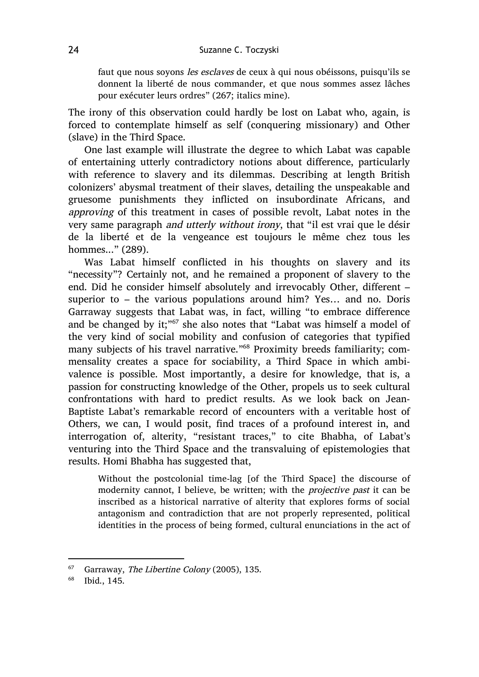faut que nous soyons les esclaves de ceux à qui nous obéissons, puisqu'ils se donnent la liberté de nous commander, et que nous sommes assez lâches pour exécuter leurs ordres" (267; italics mine).

The irony of this observation could hardly be lost on Labat who, again, is forced to contemplate himself as self (conquering missionary) and Other (slave) in the Third Space.

One last example will illustrate the degree to which Labat was capable of entertaining utterly contradictory notions about difference, particularly with reference to slavery and its dilemmas. Describing at length British colonizers' abysmal treatment of their slaves, detailing the unspeakable and gruesome punishments they inflicted on insubordinate Africans, and approving of this treatment in cases of possible revolt, Labat notes in the very same paragraph and utterly without irony, that "il est vrai que le désir de la liberté et de la vengeance est toujours le même chez tous les hommes..." (289).

Was Labat himself conflicted in his thoughts on slavery and its "necessity"? Certainly not, and he remained a proponent of slavery to the end. Did he consider himself absolutely and irrevocably Other, different – superior to – the various populations around him? Yes… and no. Doris Garraway suggests that Labat was, in fact, willing "to embrace difference and be changed by it;"<sup>67</sup> she also notes that "Labat was himself a model of the very kind of social mobility and confusion of categories that typified many subjects of his travel narrative."<sup>68</sup> Proximity breeds familiarity; commensality creates a space for sociability, a Third Space in which ambivalence is possible. Most importantly, a desire for knowledge, that is, a passion for constructing knowledge of the Other, propels us to seek cultural confrontations with hard to predict results. As we look back on Jean-Baptiste Labat's remarkable record of encounters with a veritable host of Others, we can, I would posit, find traces of a profound interest in, and interrogation of, alterity, "resistant traces," to cite Bhabha, of Labat's venturing into the Third Space and the transvaluing of epistemologies that results. Homi Bhabha has suggested that,

Without the postcolonial time-lag [of the Third Space] the discourse of modernity cannot, I believe, be written; with the projective past it can be inscribed as a historical narrative of alterity that explores forms of social antagonism and contradiction that are not properly represented, political identities in the process of being formed, cultural enunciations in the act of

 $67$  Garraway, The Libertine Colony (2005), 135.

<sup>68</sup> Ibid., 145.